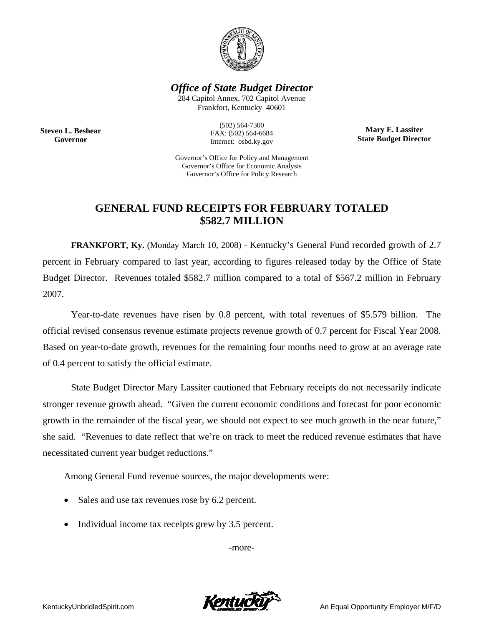

*Office of State Budget Director* 

284 Capitol Annex, 702 Capitol Avenue Frankfort, Kentucky 40601

**Steven L. Beshear Governor** 

(502) 564-7300 FAX: (502) 564-6684 Internet: osbd.ky.gov

**Mary E. Lassiter State Budget Director** 

Governor's Office for Policy and Management Governor's Office for Economic Analysis Governor's Office for Policy Research

## **GENERAL FUND RECEIPTS FOR FEBRUARY TOTALED \$582.7 MILLION**

 **FRANKFORT, Ky.** (Monday March 10, 2008) - Kentucky's General Fund recorded growth of 2.7 percent in February compared to last year, according to figures released today by the Office of State Budget Director. Revenues totaled \$582.7 million compared to a total of \$567.2 million in February 2007.

Year-to-date revenues have risen by 0.8 percent, with total revenues of \$5.579 billion. The official revised consensus revenue estimate projects revenue growth of 0.7 percent for Fiscal Year 2008. Based on year-to-date growth, revenues for the remaining four months need to grow at an average rate of 0.4 percent to satisfy the official estimate.

State Budget Director Mary Lassiter cautioned that February receipts do not necessarily indicate stronger revenue growth ahead. "Given the current economic conditions and forecast for poor economic growth in the remainder of the fiscal year, we should not expect to see much growth in the near future," she said. "Revenues to date reflect that we're on track to meet the reduced revenue estimates that have necessitated current year budget reductions."

Among General Fund revenue sources, the major developments were:

- Sales and use tax revenues rose by 6.2 percent.
- Individual income tax receipts grew by 3.5 percent.

-more-

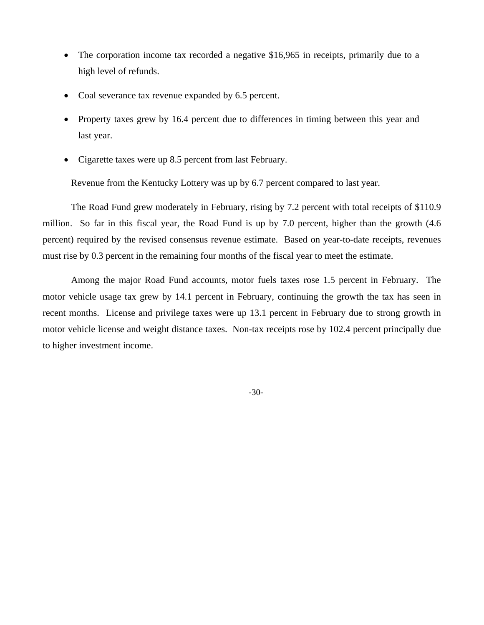- The corporation income tax recorded a negative \$16,965 in receipts, primarily due to a high level of refunds.
- Coal severance tax revenue expanded by 6.5 percent.
- Property taxes grew by 16.4 percent due to differences in timing between this year and last year.
- Cigarette taxes were up 8.5 percent from last February.

Revenue from the Kentucky Lottery was up by 6.7 percent compared to last year.

The Road Fund grew moderately in February, rising by 7.2 percent with total receipts of \$110.9 million. So far in this fiscal year, the Road Fund is up by 7.0 percent, higher than the growth (4.6 percent) required by the revised consensus revenue estimate. Based on year-to-date receipts, revenues must rise by 0.3 percent in the remaining four months of the fiscal year to meet the estimate.

Among the major Road Fund accounts, motor fuels taxes rose 1.5 percent in February. The motor vehicle usage tax grew by 14.1 percent in February, continuing the growth the tax has seen in recent months. License and privilege taxes were up 13.1 percent in February due to strong growth in motor vehicle license and weight distance taxes. Non-tax receipts rose by 102.4 percent principally due to higher investment income.

-30-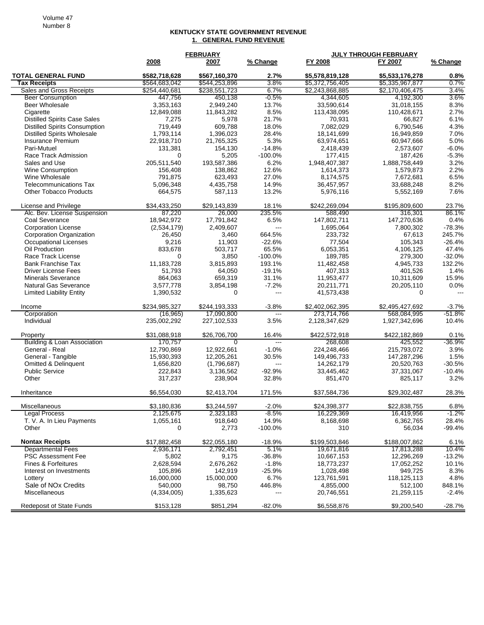## **KENTUCKY STATE GOVERNMENT REVENUE 1. GENERAL FUND REVENUE**

|                                        | <b>FEBRUARY</b> |               |                          | <b>JULY THROUGH FEBRUARY</b> |                 |           |  |
|----------------------------------------|-----------------|---------------|--------------------------|------------------------------|-----------------|-----------|--|
|                                        | 2008            | 2007          | % Change                 | FY 2008                      | FY 2007         | % Change  |  |
| <b>TOTAL GENERAL FUND</b>              | \$582,718,628   | \$567,160,370 | 2.7%                     | \$5,578,819,128              | \$5,533,176,278 | 0.8%      |  |
| <b>Tax Receipts</b>                    | \$564,683,042   | \$544,253,896 | 3.8%                     | \$5,372,756,405              | \$5,335,967,877 | 0.7%      |  |
| Sales and Gross Receipts               | \$254,440,681   | \$238,551,723 | 6.7%                     | \$2,243,868,885              | \$2,170,406,475 | 3.4%      |  |
| <b>Beer Consumption</b>                | 447,756         | 450,138       | $-0.5\%$                 | 4,344,605                    | 4,192,300       | 3.6%      |  |
| <b>Beer Wholesale</b>                  | 3,353,163       | 2,949,240     | 13.7%                    | 33,590,614                   | 31,018,155      | 8.3%      |  |
| Cigarette                              | 12,849,088      | 11,843,282    | 8.5%                     | 113,438,095                  | 110,428,671     | 2.7%      |  |
| <b>Distilled Spirits Case Sales</b>    | 7,275           | 5,978         | 21.7%                    | 70,931                       | 66,827          | 6.1%      |  |
| <b>Distilled Spirits Consumption</b>   | 719,449         | 609,788       | 18.0%                    | 7,082,029                    | 6,790,546       | 4.3%      |  |
| <b>Distilled Spirits Wholesale</b>     | 1,793,114       | 1,396,023     | 28.4%                    | 18,141,699                   | 16,949,859      | 7.0%      |  |
| Insurance Premium                      | 22,918,710      | 21,765,325    | 5.3%                     | 63,974,651                   | 60,947,666      | 5.0%      |  |
| Pari-Mutuel                            | 131,381         | 154,130       | $-14.8%$                 | 2,418,439                    | 2.573.607       | $-6.0%$   |  |
| Race Track Admission                   | 0               | 5,205         | $-100.0%$                | 177,415                      | 187,426         | $-5.3%$   |  |
| Sales and Use                          | 205,511,540     | 193,587,386   | 6.2%                     | 1,948,407,387                | 1,888,758,449   | 3.2%      |  |
| <b>Wine Consumption</b>                | 156,408         | 138,862       | 12.6%                    | 1,614,373                    | 1,579,873       | 2.2%      |  |
| Wine Wholesale                         | 791,875         | 623,493       | 27.0%                    | 8,174,575                    | 7,672,681       | 6.5%      |  |
| <b>Telecommunications Tax</b>          | 5,096,348       | 4,435,758     | 14.9%                    | 36,457,957                   | 33,688,248      | 8.2%      |  |
| <b>Other Tobacco Products</b>          | 664,575         | 587,113       | 13.2%                    | 5,976,116                    | 5,552,169       | 7.6%      |  |
| License and Privilege                  | \$34,433,250    | \$29,143,839  | 18.1%                    | \$242,269,094                | \$195,809,600   | 23.7%     |  |
| Alc. Bev. License Suspension           | 87,220          | 26,000        | 235.5%                   | 588,490                      | 316,301         | 86.1%     |  |
| Coal Severance                         | 18,942,972      | 17,791,842    | 6.5%                     | 147,802,711                  | 147,270,636     | 0.4%      |  |
| <b>Corporation License</b>             | (2,534,179)     | 2,409,607     | $---$                    | 1,695,064                    | 7,800,302       | $-78.3%$  |  |
| Corporation Organization               | 26,450          | 3,460         | 664.5%                   | 233,732                      | 67,613          | 245.7%    |  |
| <b>Occupational Licenses</b>           | 9,216           | 11,903        | $-22.6%$                 | 77,504                       | 105,343         | $-26.4%$  |  |
| Oil Production                         | 833,678         | 503,717       | 65.5%                    | 6,053,351                    | 4,106,125       | 47.4%     |  |
| Race Track License                     | 0               | 3,850         | $-100.0%$                | 189,785                      | 279,300         | $-32.0%$  |  |
| <b>Bank Franchise Tax</b>              | 11,183,728      | 3,815,893     | 193.1%                   | 11,482,458                   | 4,945,733       | 132.2%    |  |
| <b>Driver License Fees</b>             | 51,793          | 64,050        | $-19.1%$                 | 407,313                      | 401,526         | 1.4%      |  |
| <b>Minerals Severance</b>              | 864,063         | 659,319       | 31.1%                    | 11,953,477                   | 10,311,609      | 15.9%     |  |
| <b>Natural Gas Severance</b>           | 3,577,778       | 3,854,198     | $-7.2%$                  | 20,211,771                   | 20,205,110      | 0.0%      |  |
| <b>Limited Liability Entity</b>        | 1,390,532       | 0             | ---                      | 41,573,438                   | $\Omega$        |           |  |
| Income                                 | \$234,985,327   | \$244,193,333 | $-3.8%$                  | \$2,402,062,395              | \$2,495,427,692 | $-3.7%$   |  |
| Corporation                            | (16, 965)       | 17,090,800    | $\overline{\phantom{a}}$ | 273,714,766                  | 568,084,995     | $-51.8\%$ |  |
| Individual                             | 235,002,292     | 227,102,533   | 3.5%                     | 2,128,347,629                | 1,927,342,696   | 10.4%     |  |
| Property                               | \$31,088,918    | \$26,706,700  | 16.4%                    | \$422,572,918                | \$422,182,869   | 0.1%      |  |
| <b>Building &amp; Loan Association</b> | 170,757         | 0             | $\overline{a}$           | 268,608                      | 425,552         | $-36.9%$  |  |
| General - Real                         | 12,790,869      | 12,922,661    | $-1.0%$                  | 224,248,466                  | 215,793,072     | 3.9%      |  |
| General - Tangible                     | 15,930,393      | 12,205,261    | 30.5%                    | 149,496,733                  | 147,287,296     | 1.5%      |  |
| <b>Omitted &amp; Delinquent</b>        | 1,656,820       | (1,796,687)   | $\scriptstyle \cdots$    | 14,262,179                   | 20,520,763      | $-30.5%$  |  |
| <b>Public Service</b>                  | 222,843         | 3,136,562     | $-92.9%$                 | 33,445,462                   | 37,331,067      | $-10.4%$  |  |
| Other                                  | 317,237         | 238,904       | 32.8%                    | 851,470                      | 825,117         | 3.2%      |  |
| Inheritance                            | \$6,554,030     | \$2,413,704   | 171.5%                   | \$37,584,736                 | \$29,302,487    | 28.3%     |  |
| Miscellaneous                          | \$3,180,836     | \$3,244,597   | -2.0%                    | \$24,398,377                 | \$22,838,755    | 6.8%      |  |
| <b>Legal Process</b>                   | 2,125,675       | 2,323,183     | $-8.5%$                  | 16,229,369                   | 16,419,956      | $-1.2%$   |  |
| T. V. A. In Lieu Payments              | 1,055,161       | 918,640       | 14.9%                    | 8,168,698                    | 6,362,765       | 28.4%     |  |
| Other                                  | 0               | 2,773         | $-100.0\%$               | 310                          | 56,034          | $-99.4%$  |  |
| <b>Nontax Receipts</b>                 | \$17,882,458    | \$22,055,180  | $-18.9%$                 | \$199,503,846                | \$188,007.862   | 6.1%      |  |
| <b>Departmental Fees</b>               | 2,936,171       | 2,792,451     | 5.1%                     | 19,671,816                   | 17,813,288      | 10.4%     |  |
| <b>PSC Assessment Fee</b>              | 5,802           | 9,175         | $-36.8%$                 | 10,667,153                   | 12,296,269      | $-13.2%$  |  |
| Fines & Forfeitures                    | 2,628,594       | 2,676,262     | $-1.8%$                  | 18,773,237                   | 17,052,252      | 10.1%     |  |
| Interest on Investments                | 105,896         | 142,919       | $-25.9%$                 | 1,028,498                    | 949,725         | 8.3%      |  |
| Lottery                                | 16,000,000      | 15,000,000    | 6.7%                     | 123,761,591                  | 118,125,113     | 4.8%      |  |
| Sale of NO <sub>x</sub> Credits        | 540,000         | 98,750        | 446.8%                   | 4,855,000                    | 512,100         | 848.1%    |  |
| Miscellaneous                          | (4,334,005)     | 1,335,623     |                          | 20,746,551                   | 21,259,115      | $-2.4%$   |  |
| Redeposit of State Funds               | \$153,128       | \$851,294     | $-82.0%$                 | \$6,558,876                  | \$9,200,540     | $-28.7%$  |  |